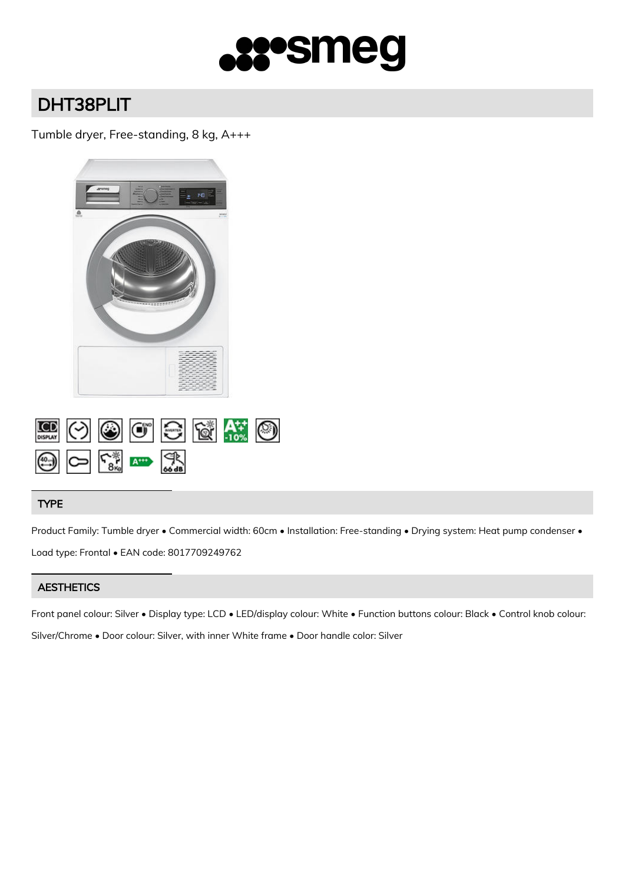

# DHT38PLIT

## Tumble dryer, Free-standing, 8 kg, A+++



### TYPE

Product Family: Tumble dryer • Commercial width: 60cm • Installation: Free-standing • Drying system: Heat pump condenser • Load type: Frontal • EAN code: 8017709249762

## **AESTHETICS**

Front panel colour: Silver • Display type: LCD • LED/display colour: White • Function buttons colour: Black • Control knob colour: Silver/Chrome • Door colour: Silver, with inner White frame • Door handle color: Silver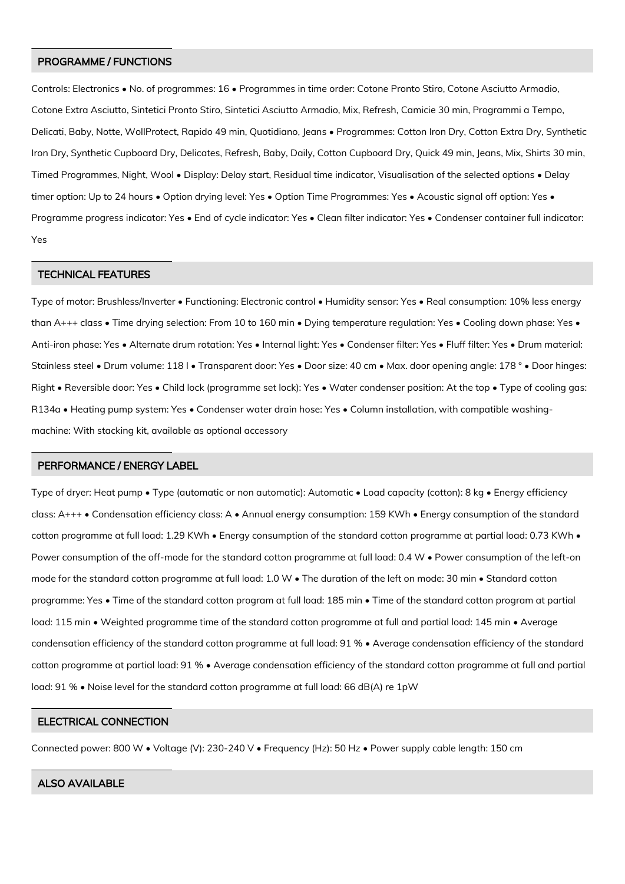#### PROGRAMME / FUNCTIONS

Controls: Electronics • No. of programmes: 16 • Programmes in time order: Cotone Pronto Stiro, Cotone Asciutto Armadio, Cotone Extra Asciutto, Sintetici Pronto Stiro, Sintetici Asciutto Armadio, Mix, Refresh, Camicie 30 min, Programmi a Tempo, Delicati, Baby, Notte, WollProtect, Rapido 49 min, Quotidiano, Jeans • Programmes: Cotton Iron Dry, Cotton Extra Dry, Synthetic Iron Dry, Synthetic Cupboard Dry, Delicates, Refresh, Baby, Daily, Cotton Cupboard Dry, Quick 49 min, Jeans, Mix, Shirts 30 min, Timed Programmes, Night, Wool • Display: Delay start, Residual time indicator, Visualisation of the selected options • Delay timer option: Up to 24 hours • Option drying level: Yes • Option Time Programmes: Yes • Acoustic signal off option: Yes • Programme progress indicator: Yes • End of cycle indicator: Yes • Clean filter indicator: Yes • Condenser container full indicator: Yes

#### TECHNICAL FEATURES

Type of motor: Brushless/Inverter • Functioning: Electronic control • Humidity sensor: Yes • Real consumption: 10% less energy than A+++ class • Time drying selection: From 10 to 160 min • Dying temperature regulation: Yes • Cooling down phase: Yes • Anti-iron phase: Yes • Alternate drum rotation: Yes • Internal light: Yes • Condenser filter: Yes • Fluff filter: Yes • Drum material: Stainless steel • Drum volume: 118 l • Transparent door: Yes • Door size: 40 cm • Max. door opening angle: 178 ° • Door hinges: Right • Reversible door: Yes • Child lock (programme set lock): Yes • Water condenser position: At the top • Type of cooling gas: R134a • Heating pump system: Yes • Condenser water drain hose: Yes • Column installation, with compatible washingmachine: With stacking kit, available as optional accessory

#### PERFORMANCE / ENERGY LABEL

Type of dryer: Heat pump • Type (automatic or non automatic): Automatic • Load capacity (cotton): 8 kg • Energy efficiency class: A+++ • Condensation efficiency class: A • Annual energy consumption: 159 KWh • Energy consumption of the standard cotton programme at full load: 1.29 KWh • Energy consumption of the standard cotton programme at partial load: 0.73 KWh • Power consumption of the off-mode for the standard cotton programme at full load: 0.4 W • Power consumption of the left-on mode for the standard cotton programme at full load: 1.0 W . The duration of the left on mode: 30 min . Standard cotton programme: Yes • Time of the standard cotton program at full load: 185 min • Time of the standard cotton program at partial load: 115 min • Weighted programme time of the standard cotton programme at full and partial load: 145 min • Average condensation efficiency of the standard cotton programme at full load: 91 % • Average condensation efficiency of the standard cotton programme at partial load: 91 % • Average condensation efficiency of the standard cotton programme at full and partial load: 91 % • Noise level for the standard cotton programme at full load: 66 dB(A) re 1pW

#### ELECTRICAL CONNECTION

Connected power: 800 W • Voltage (V): 230-240 V • Frequency (Hz): 50 Hz • Power supply cable length: 150 cm

#### ALSO AVAILABLE